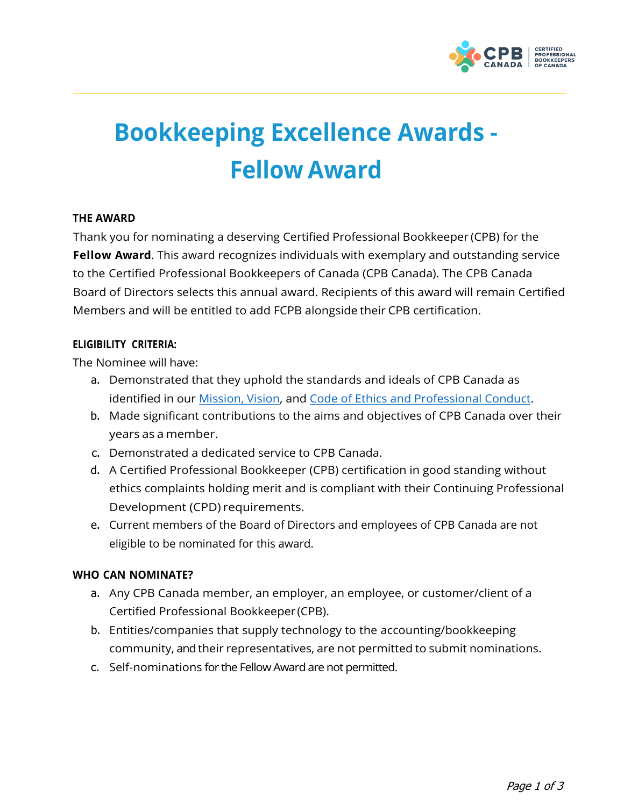

# **Bookkeeping Excellence Awards - Fellow Award**

#### **THE AWARD**

Thank you for nominating a deserving Certified Professional Bookkeeper (CPB) for the **Fellow Award**. This award recognizes individuals with exemplary and outstanding service to the Certified Professional Bookkeepers of Canada (CPB Canada). The CPB Canada Board of Directors selects this annual award. Recipients of this award will remain Certified Members and will be entitled to add FCPB alongside their CPB certification.

#### **ELIGIBILITY CRITERIA:**

The Nominee will have:

- a. Demonstrated that they uphold the standards and ideals of CPB Canada as identified in our Mission, [Vision, an](https://cpbcan.ca/about/about.html)d Code of Ethics and [Professional](https://cpbcan.ca/about/ethics/code-of-conduct.html) Conduct.
- b. Made significant contributions to the aims and objectives of CPB Canada over their years as a member.
- c. Demonstrated a dedicated service to CPB Canada.
- d. A Certified Professional Bookkeeper (CPB) certification in good standing without ethics complaints holding merit and is compliant with their Continuing Professional Development (CPD) requirements.
- e. Current members of the Board of Directors and employees of CPB Canada are not eligible to be nominated for this award.

## **WHO CAN NOMINATE?**

- a. Any CPB Canada member, an employer, an employee, or customer/client of a Certified Professional Bookkeeper (CPB).
- b. Entities/companies that supply technology to the accounting/bookkeeping community, and their representatives, are not permitted to submit nominations.
- c. Self-nominations for the Fellow Award are not permitted.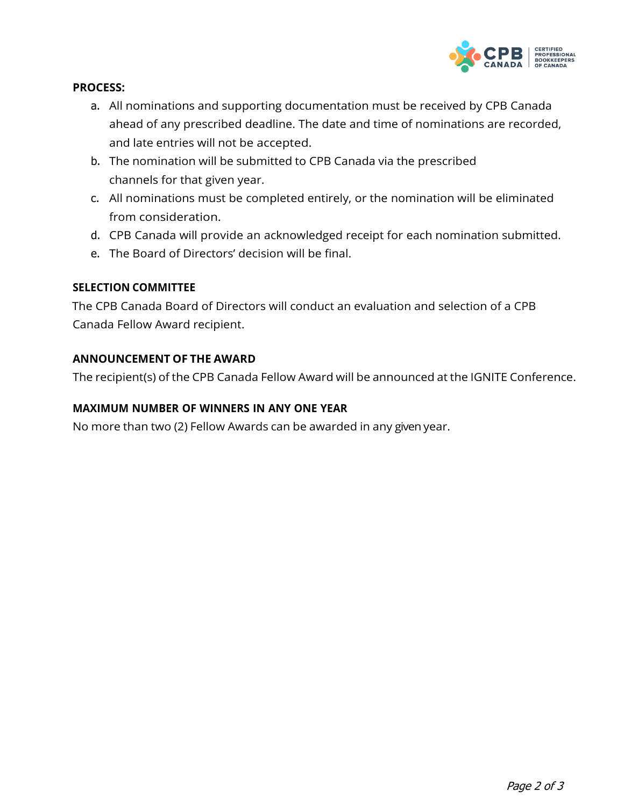

## **PROCESS:**

- a. All nominations and supporting documentation must be received by CPB Canada ahead of any prescribed deadline. The date and time of nominations are recorded, and late entries will not be accepted.
- b. The nomination will be submitted to CPB Canada via the prescribed channels for that given year.
- c. All nominations must be completed entirely, or the nomination will be eliminated from consideration.
- d. CPB Canada will provide an acknowledged receipt for each nomination submitted.
- e. The Board of Directors' decision will be final.

#### **SELECTION COMMITTEE**

The CPB Canada Board of Directors will conduct an evaluation and selection of a CPB Canada Fellow Award recipient.

#### **ANNOUNCEMENT OF THE AWARD**

The recipient(s) of the CPB Canada Fellow Award will be announced at the IGNITE Conference.

## **MAXIMUM NUMBER OF WINNERS IN ANY ONE YEAR**

No more than two (2) Fellow Awards can be awarded in any given year.